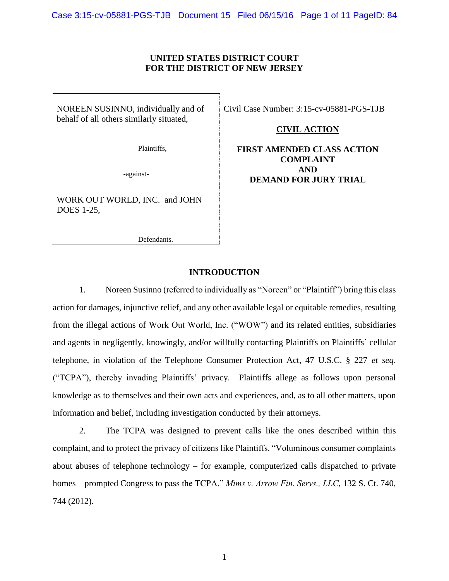# **UNITED STATES DISTRICT COURT FOR THE DISTRICT OF NEW JERSEY**

NOREEN SUSINNO, individually and of behalf of all others similarly situated,

Plaintiffs,

-against-

WORK OUT WORLD, INC. and JOHN DOES 1-25,

Defendants.

Civil Case Number: 3:15-cv-05881-PGS-TJB

## **CIVIL ACTION**

# **FIRST AMENDED CLASS ACTION COMPLAINT AND DEMAND FOR JURY TRIAL**

### **INTRODUCTION**

1. Noreen Susinno (referred to individually as "Noreen" or "Plaintiff") bring this class action for damages, injunctive relief, and any other available legal or equitable remedies, resulting from the illegal actions of Work Out World, Inc. ("WOW") and its related entities, subsidiaries and agents in negligently, knowingly, and/or willfully contacting Plaintiffs on Plaintiffs' cellular telephone, in violation of the Telephone Consumer Protection Act, 47 U.S.C. § 227 *et seq*. ("TCPA"), thereby invading Plaintiffs' privacy. Plaintiffs allege as follows upon personal knowledge as to themselves and their own acts and experiences, and, as to all other matters, upon information and belief, including investigation conducted by their attorneys.

2. The TCPA was designed to prevent calls like the ones described within this complaint, and to protect the privacy of citizens like Plaintiffs. "Voluminous consumer complaints about abuses of telephone technology – for example, computerized calls dispatched to private homes – prompted Congress to pass the TCPA." *Mims v. Arrow Fin. Servs., LLC*, 132 S. Ct. 740, 744 (2012).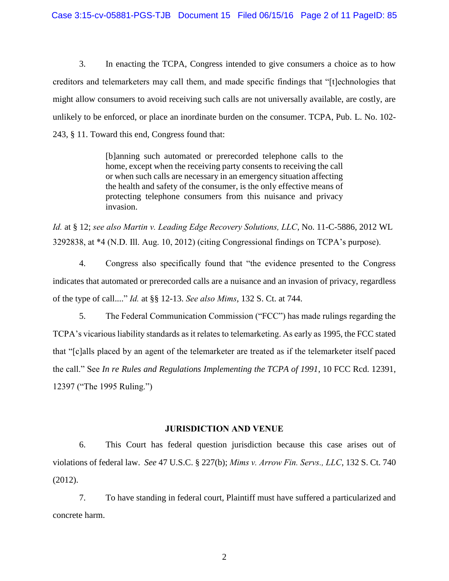3. In enacting the TCPA, Congress intended to give consumers a choice as to how creditors and telemarketers may call them, and made specific findings that "[t]echnologies that might allow consumers to avoid receiving such calls are not universally available, are costly, are unlikely to be enforced, or place an inordinate burden on the consumer. TCPA, Pub. L. No. 102- 243, § 11. Toward this end, Congress found that:

> [b]anning such automated or prerecorded telephone calls to the home, except when the receiving party consents to receiving the call or when such calls are necessary in an emergency situation affecting the health and safety of the consumer, is the only effective means of protecting telephone consumers from this nuisance and privacy invasion.

*Id.* at § 12; *see also Martin v. Leading Edge Recovery Solutions, LLC*, No. 11-C-5886, 2012 WL 3292838, at \*4 (N.D. Ill. Aug. 10, 2012) (citing Congressional findings on TCPA's purpose).

4. Congress also specifically found that "the evidence presented to the Congress indicates that automated or prerecorded calls are a nuisance and an invasion of privacy, regardless of the type of call...." *Id.* at §§ 12-13. *See also Mims*, 132 S. Ct. at 744.

5. The Federal Communication Commission ("FCC") has made rulings regarding the TCPA's vicarious liability standards as it relates to telemarketing. As early as 1995, the FCC stated that "[c]alls placed by an agent of the telemarketer are treated as if the telemarketer itself paced the call." See *In re Rules and Regulations Implementing the TCPA of 1991*, 10 FCC Rcd. 12391, 12397 ("The 1995 Ruling.")

# **JURISDICTION AND VENUE**

6. This Court has federal question jurisdiction because this case arises out of violations of federal law. *See* 47 U.S.C. § 227(b); *Mims v. Arrow Fin. Servs., LLC*, 132 S. Ct. 740 (2012).

7. To have standing in federal court, Plaintiff must have suffered a particularized and concrete harm.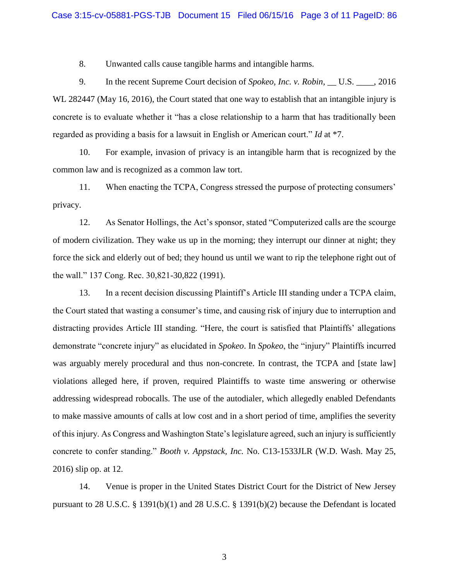8. Unwanted calls cause tangible harms and intangible harms.

9. In the recent Supreme Court decision of *Spokeo, Inc. v. Robin*, \_\_ U.S. \_\_\_\_, 2016 WL 282447 (May 16, 2016), the Court stated that one way to establish that an intangible injury is concrete is to evaluate whether it "has a close relationship to a harm that has traditionally been regarded as providing a basis for a lawsuit in English or American court." *Id* at \*7.

10. For example, invasion of privacy is an intangible harm that is recognized by the common law and is recognized as a common law tort.

11. When enacting the TCPA, Congress stressed the purpose of protecting consumers' privacy.

12. As Senator Hollings, the Act's sponsor, stated "Computerized calls are the scourge of modern civilization. They wake us up in the morning; they interrupt our dinner at night; they force the sick and elderly out of bed; they hound us until we want to rip the telephone right out of the wall." 137 Cong. Rec. 30,821-30,822 (1991).

13. In a recent decision discussing Plaintiff's Article III standing under a TCPA claim, the Court stated that wasting a consumer's time, and causing risk of injury due to interruption and distracting provides Article III standing. "Here, the court is satisfied that Plaintiffs' allegations demonstrate "concrete injury" as elucidated in *Spokeo*. In *Spokeo*, the "injury" Plaintiffs incurred was arguably merely procedural and thus non-concrete. In contrast, the TCPA and [state law] violations alleged here, if proven, required Plaintiffs to waste time answering or otherwise addressing widespread robocalls. The use of the autodialer, which allegedly enabled Defendants to make massive amounts of calls at low cost and in a short period of time, amplifies the severity of this injury. As Congress and Washington State's legislature agreed, such an injury is sufficiently concrete to confer standing." *Booth v. Appstack, Inc.* No. C13-1533JLR (W.D. Wash. May 25, 2016) slip op. at 12.

14. Venue is proper in the United States District Court for the District of New Jersey pursuant to 28 U.S.C. § 1391(b)(1) and 28 U.S.C. § 1391(b)(2) because the Defendant is located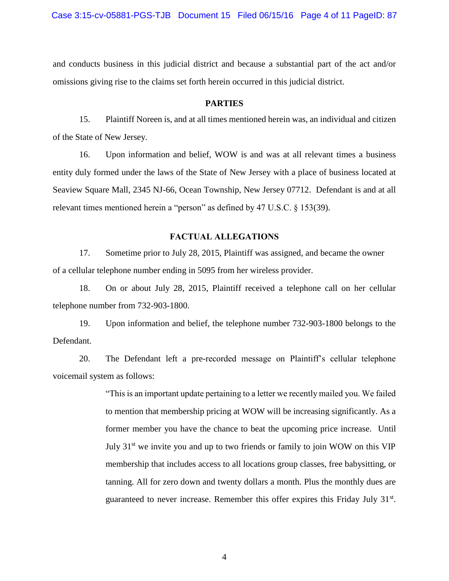and conducts business in this judicial district and because a substantial part of the act and/or omissions giving rise to the claims set forth herein occurred in this judicial district.

#### **PARTIES**

15. Plaintiff Noreen is, and at all times mentioned herein was, an individual and citizen of the State of New Jersey.

16. Upon information and belief, WOW is and was at all relevant times a business entity duly formed under the laws of the State of New Jersey with a place of business located at Seaview Square Mall, 2345 NJ-66, Ocean Township, New Jersey 07712. Defendant is and at all relevant times mentioned herein a "person" as defined by 47 U.S.C. § 153(39).

### **FACTUAL ALLEGATIONS**

17. Sometime prior to July 28, 2015, Plaintiff was assigned, and became the owner of a cellular telephone number ending in 5095 from her wireless provider.

18. On or about July 28, 2015, Plaintiff received a telephone call on her cellular telephone number from 732-903-1800.

19. Upon information and belief, the telephone number 732-903-1800 belongs to the Defendant.

20. The Defendant left a pre-recorded message on Plaintiff's cellular telephone voicemail system as follows:

> "This is an important update pertaining to a letter we recently mailed you. We failed to mention that membership pricing at WOW will be increasing significantly. As a former member you have the chance to beat the upcoming price increase. Until July  $31<sup>st</sup>$  we invite you and up to two friends or family to join WOW on this VIP membership that includes access to all locations group classes, free babysitting, or tanning. All for zero down and twenty dollars a month. Plus the monthly dues are guaranteed to never increase. Remember this offer expires this Friday July 31<sup>st</sup>.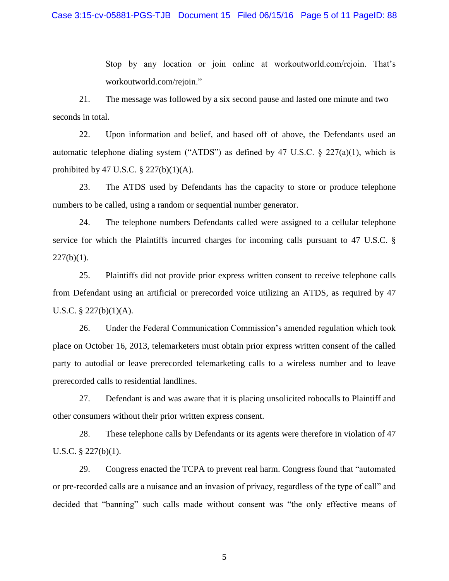Stop by any location or join online at workoutworld.com/rejoin. That's workoutworld.com/rejoin."

21. The message was followed by a six second pause and lasted one minute and two seconds in total.

22. Upon information and belief, and based off of above, the Defendants used an automatic telephone dialing system ("ATDS") as defined by 47 U.S.C.  $\S$  227(a)(1), which is prohibited by 47 U.S.C.  $\S$  227(b)(1)(A).

23. The ATDS used by Defendants has the capacity to store or produce telephone numbers to be called, using a random or sequential number generator.

24. The telephone numbers Defendants called were assigned to a cellular telephone service for which the Plaintiffs incurred charges for incoming calls pursuant to 47 U.S.C. §  $227(b)(1)$ .

25. Plaintiffs did not provide prior express written consent to receive telephone calls from Defendant using an artificial or prerecorded voice utilizing an ATDS, as required by 47 U.S.C. § 227(b)(1)(A).

26. Under the Federal Communication Commission's amended regulation which took place on October 16, 2013, telemarketers must obtain prior express written consent of the called party to autodial or leave prerecorded telemarketing calls to a wireless number and to leave prerecorded calls to residential landlines.

27. Defendant is and was aware that it is placing unsolicited robocalls to Plaintiff and other consumers without their prior written express consent.

28. These telephone calls by Defendants or its agents were therefore in violation of 47 U.S.C. § 227(b)(1).

29. Congress enacted the TCPA to prevent real harm. Congress found that "automated or pre-recorded calls are a nuisance and an invasion of privacy, regardless of the type of call" and decided that "banning" such calls made without consent was "the only effective means of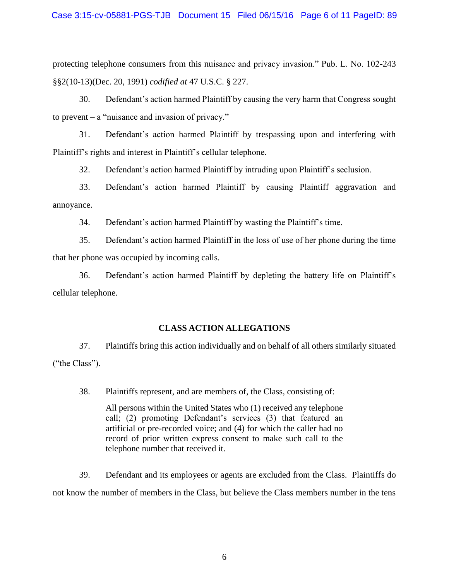protecting telephone consumers from this nuisance and privacy invasion." Pub. L. No. 102-243 §§2(10-13)(Dec. 20, 1991) *codified at* 47 U.S.C. § 227.

30. Defendant's action harmed Plaintiff by causing the very harm that Congress sought to prevent – a "nuisance and invasion of privacy."

31. Defendant's action harmed Plaintiff by trespassing upon and interfering with Plaintiff's rights and interest in Plaintiff's cellular telephone.

32. Defendant's action harmed Plaintiff by intruding upon Plaintiff's seclusion.

33. Defendant's action harmed Plaintiff by causing Plaintiff aggravation and annoyance.

34. Defendant's action harmed Plaintiff by wasting the Plaintiff's time.

35. Defendant's action harmed Plaintiff in the loss of use of her phone during the time that her phone was occupied by incoming calls.

36. Defendant's action harmed Plaintiff by depleting the battery life on Plaintiff's cellular telephone.

# **CLASS ACTION ALLEGATIONS**

37. Plaintiffs bring this action individually and on behalf of all others similarly situated ("the Class").

38. Plaintiffs represent, and are members of, the Class, consisting of:

All persons within the United States who (1) received any telephone call; (2) promoting Defendant's services (3) that featured an artificial or pre-recorded voice; and (4) for which the caller had no record of prior written express consent to make such call to the telephone number that received it.

39. Defendant and its employees or agents are excluded from the Class. Plaintiffs do not know the number of members in the Class, but believe the Class members number in the tens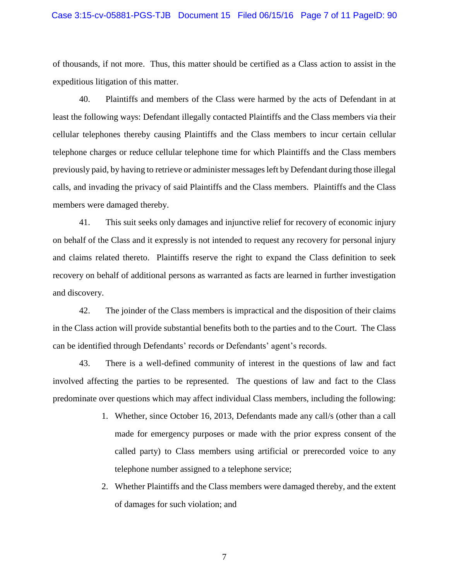#### Case 3:15-cv-05881-PGS-TJB Document 15 Filed 06/15/16 Page 7 of 11 PageID: 90

of thousands, if not more. Thus, this matter should be certified as a Class action to assist in the expeditious litigation of this matter.

40. Plaintiffs and members of the Class were harmed by the acts of Defendant in at least the following ways: Defendant illegally contacted Plaintiffs and the Class members via their cellular telephones thereby causing Plaintiffs and the Class members to incur certain cellular telephone charges or reduce cellular telephone time for which Plaintiffs and the Class members previously paid, by having to retrieve or administer messages left by Defendant during those illegal calls, and invading the privacy of said Plaintiffs and the Class members. Plaintiffs and the Class members were damaged thereby.

41. This suit seeks only damages and injunctive relief for recovery of economic injury on behalf of the Class and it expressly is not intended to request any recovery for personal injury and claims related thereto. Plaintiffs reserve the right to expand the Class definition to seek recovery on behalf of additional persons as warranted as facts are learned in further investigation and discovery.

42. The joinder of the Class members is impractical and the disposition of their claims in the Class action will provide substantial benefits both to the parties and to the Court. The Class can be identified through Defendants' records or Defendants' agent's records.

43. There is a well-defined community of interest in the questions of law and fact involved affecting the parties to be represented. The questions of law and fact to the Class predominate over questions which may affect individual Class members, including the following:

- 1. Whether, since October 16, 2013, Defendants made any call/s (other than a call made for emergency purposes or made with the prior express consent of the called party) to Class members using artificial or prerecorded voice to any telephone number assigned to a telephone service;
- 2. Whether Plaintiffs and the Class members were damaged thereby, and the extent of damages for such violation; and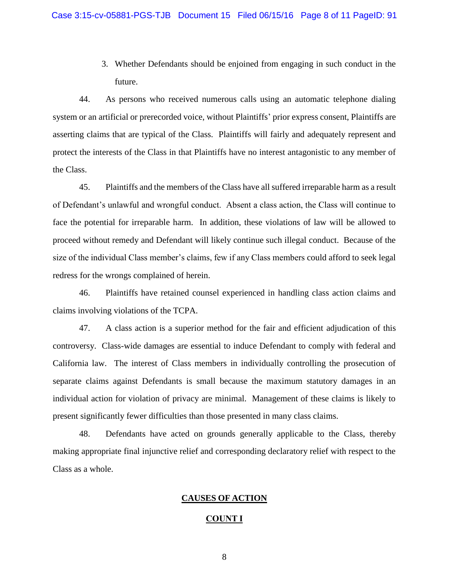3. Whether Defendants should be enjoined from engaging in such conduct in the future.

44. As persons who received numerous calls using an automatic telephone dialing system or an artificial or prerecorded voice, without Plaintiffs' prior express consent, Plaintiffs are asserting claims that are typical of the Class. Plaintiffs will fairly and adequately represent and protect the interests of the Class in that Plaintiffs have no interest antagonistic to any member of the Class.

45. Plaintiffs and the members of the Class have all suffered irreparable harm as a result of Defendant's unlawful and wrongful conduct. Absent a class action, the Class will continue to face the potential for irreparable harm. In addition, these violations of law will be allowed to proceed without remedy and Defendant will likely continue such illegal conduct. Because of the size of the individual Class member's claims, few if any Class members could afford to seek legal redress for the wrongs complained of herein.

46. Plaintiffs have retained counsel experienced in handling class action claims and claims involving violations of the TCPA.

47. A class action is a superior method for the fair and efficient adjudication of this controversy. Class-wide damages are essential to induce Defendant to comply with federal and California law. The interest of Class members in individually controlling the prosecution of separate claims against Defendants is small because the maximum statutory damages in an individual action for violation of privacy are minimal. Management of these claims is likely to present significantly fewer difficulties than those presented in many class claims.

48. Defendants have acted on grounds generally applicable to the Class, thereby making appropriate final injunctive relief and corresponding declaratory relief with respect to the Class as a whole.

## **CAUSES OF ACTION**

#### **COUNT I**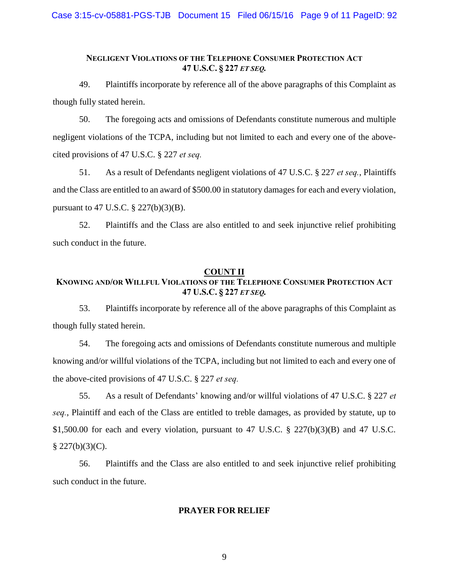# **NEGLIGENT VIOLATIONS OF THE TELEPHONE CONSUMER PROTECTION ACT 47 U.S.C. § 227** *ET SEQ.*

49. Plaintiffs incorporate by reference all of the above paragraphs of this Complaint as though fully stated herein.

50. The foregoing acts and omissions of Defendants constitute numerous and multiple negligent violations of the TCPA, including but not limited to each and every one of the abovecited provisions of 47 U.S.C. § 227 *et seq.*

51. As a result of Defendants negligent violations of 47 U.S.C. § 227 *et seq.*, Plaintiffs and the Class are entitled to an award of \$500.00 in statutory damages for each and every violation, pursuant to 47 U.S.C. § 227(b)(3)(B).

52. Plaintiffs and the Class are also entitled to and seek injunctive relief prohibiting such conduct in the future.

# **COUNT II**

# **KNOWING AND/OR WILLFUL VIOLATIONS OF THE TELEPHONE CONSUMER PROTECTION ACT 47 U.S.C. § 227** *ET SEQ.*

53. Plaintiffs incorporate by reference all of the above paragraphs of this Complaint as though fully stated herein.

54. The foregoing acts and omissions of Defendants constitute numerous and multiple knowing and/or willful violations of the TCPA, including but not limited to each and every one of the above-cited provisions of 47 U.S.C. § 227 *et seq.*

55. As a result of Defendants' knowing and/or willful violations of 47 U.S.C. § 227 *et seq.*, Plaintiff and each of the Class are entitled to treble damages, as provided by statute, up to \$1,500.00 for each and every violation, pursuant to 47 U.S.C. § 227(b)(3)(B) and 47 U.S.C.  $$227(b)(3)(C).$ 

56. Plaintiffs and the Class are also entitled to and seek injunctive relief prohibiting such conduct in the future.

# **PRAYER FOR RELIEF**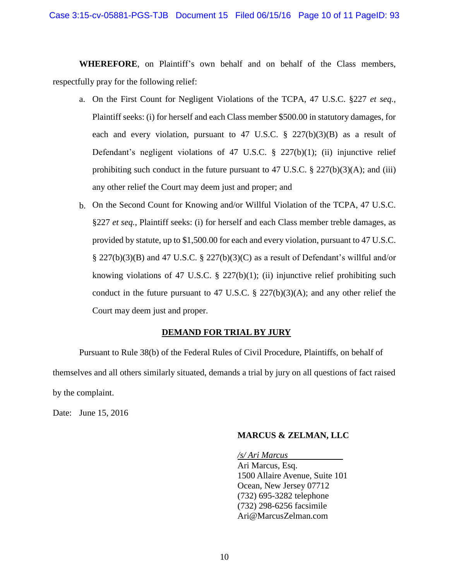**WHEREFORE**, on Plaintiff's own behalf and on behalf of the Class members, respectfully pray for the following relief:

- a. On the First Count for Negligent Violations of the TCPA, 47 U.S.C. §227 *et seq.*, Plaintiff seeks: (i) for herself and each Class member \$500.00 in statutory damages, for each and every violation, pursuant to 47 U.S.C.  $\S$  227(b)(3)(B) as a result of Defendant's negligent violations of 47 U.S.C. § 227(b)(1); (ii) injunctive relief prohibiting such conduct in the future pursuant to 47 U.S.C.  $\S 227(b)(3)(A)$ ; and (iii) any other relief the Court may deem just and proper; and
- b. On the Second Count for Knowing and/or Willful Violation of the TCPA, 47 U.S.C. §227 *et seq.*, Plaintiff seeks: (i) for herself and each Class member treble damages, as provided by statute, up to \$1,500.00 for each and every violation, pursuant to 47 U.S.C.  $\S 227(b)(3)(B)$  and 47 U.S.C.  $\S 227(b)(3)(C)$  as a result of Defendant's willful and/or knowing violations of 47 U.S.C.  $\S$  227(b)(1); (ii) injunctive relief prohibiting such conduct in the future pursuant to 47 U.S.C.  $\S$  227(b)(3)(A); and any other relief the Court may deem just and proper.

## **DEMAND FOR TRIAL BY JURY**

Pursuant to Rule 38(b) of the Federal Rules of Civil Procedure, Plaintiffs, on behalf of themselves and all others similarly situated, demands a trial by jury on all questions of fact raised by the complaint.

Date: June 15, 2016

### **MARCUS & ZELMAN, LLC**

*/s/ Ari Marcus* Ari Marcus, Esq. 1500 Allaire Avenue, Suite 101 Ocean, New Jersey 07712 (732) 695-3282 telephone (732) 298-6256 facsimile Ari@MarcusZelman.com